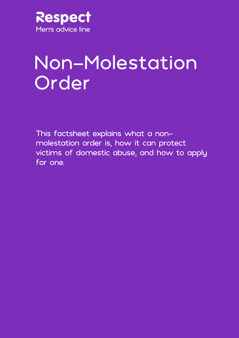

# Non-Molestation Order

This factsheet explains what a nonmolestation order is, how it can protect victims of domestic abuse, and how to apply for one.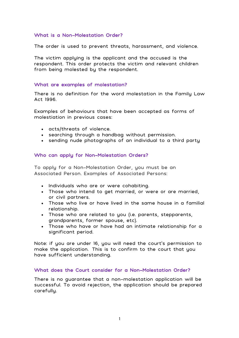# What is a Non-Molestation Order?

The order is used to prevent threats, harassment, and violence.

The victim applying is the applicant and the accused is the respondent. This order protects the victim and relevant children from being molested by the respondent.

## What are examples of molestation?

There is no definition for the word molestation in the Family Law Act 1996.

Examples of behaviours that have been accepted as forms of molestiation in previous cases:

- acts/threats of violence.
- searching through a handbag without permission.
- sending nude photographs of an individual to a third party

# Who can apply for Non-Molestation Orders?

To apply for a Non-Molestation Order, you must be an Associated Person. Examples of Associated Persons:

- Individuals who are or were cohabiting.
- Those who intend to get married, or were or are married, or civil partners.
- Those who live or have lived in the same house in a familial relationship.
- Those who are related to you (i.e. parents, stepparents, grandparents, former spouse, etc).
- Those who have or have had an intimate relationship for a significant period.

Note: if you are under 16, you will need the court's permission to make the application. This is to confirm to the court that you have sufficient understanding.

# What does the Court consider for a Non-Molestation Order?

There is no guarantee that a non-molestation application will be successful. To avoid rejection, the application should be prepared carefully.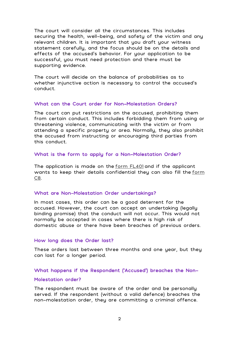The court will consider all the circumstances. This includes securing the health, well-being, and safety of the victim and any relevant children. It is important that you draft your witness statement carefully, and the focus should be on the details and effects of the accused's behavior. For your application to be successful, you must need protection and there must be supporting evidence.

The court will decide on the balance of probabilities as to whether injunctive action is necessary to control the accused's conduct.

### What can the Court order for Non-Molestation Orders?

The court can put restrictions on the accused, prohibiting them from certain conduct. This includes forbidding them from using or threatening violence, communicating with the victim or from attending a specific property or area. Normally, they also prohibit the accused from instructing or encouraging third parties from this conduct.

#### What is the form to apply for a Non-Molestation Order?

The application is made on the [form FL401](https://www.gov.uk/government/publications/form-fl401-application-for-a-non-molestation-order-occupation-order) and if the applicant wants to keep their details confidential they can also fill the <u>form</u> [C8.](https://www.gov.uk/government/publications/form-c8-confidential-contact-details-family-procedure-rules-2010-rule-291)

#### What are Non-Molestation Order undertakings?

In most cases, this order can be a good deterrent for the accused. However, the court can accept an undertaking (legally binding promise) that the conduct will not occur. This would not normally be accepted in cases where there is high risk of domestic abuse or there have been breaches of previous orders.

#### How long does the Order last?

These orders last between three months and one year, but they can last for a longer period.

#### What happens if the Respondent ('Accused') breaches the Non-

## Molestation order?

The respondent must be aware of the order and be personally served. If the respondent (without a valid defence) breaches the non-molestation order, they are committing a criminal offence.